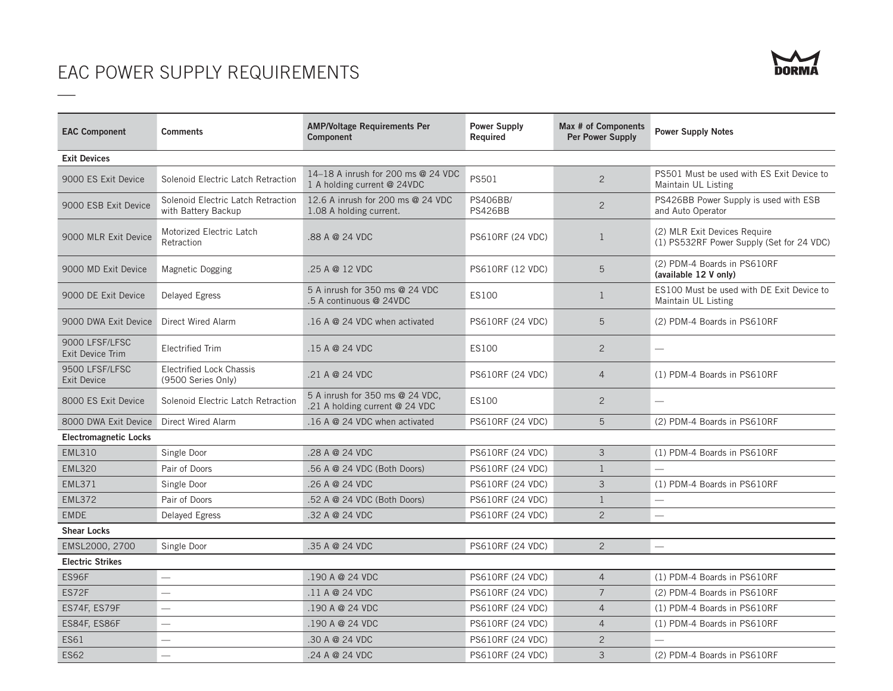## EAC POWER SUPPLY REQUIREMENTS

—

| <b>EAC Component</b>                 | <b>Comments</b>                                           | <b>AMP/Voltage Requirements Per</b><br>Component                  | <b>Power Supply</b><br>Required         | Max # of Components<br>Per Power Supply | <b>Power Supply Notes</b>                                                 |  |  |  |
|--------------------------------------|-----------------------------------------------------------|-------------------------------------------------------------------|-----------------------------------------|-----------------------------------------|---------------------------------------------------------------------------|--|--|--|
| <b>Exit Devices</b>                  |                                                           |                                                                   |                                         |                                         |                                                                           |  |  |  |
| 9000 ES Exit Device                  | Solenoid Electric Latch Retraction                        | 14-18 A inrush for 200 ms @ 24 VDC<br>1 A holding current @ 24VDC | PS501                                   | $\overline{2}$                          | PS501 Must be used with ES Exit Device to<br>Maintain UL Listing          |  |  |  |
| 9000 ESB Exit Device                 | Solenoid Electric Latch Retraction<br>with Battery Backup | 12.6 A inrush for 200 ms @ 24 VDC<br>1.08 A holding current.      | <b>PS406BB/</b><br><b>PS426BB</b>       | $\overline{2}$                          | PS426BB Power Supply is used with ESB<br>and Auto Operator                |  |  |  |
| 9000 MLR Exit Device                 | Motorized Electric Latch<br>Retraction                    | 88 A @ 24 VDC                                                     | <b>PS610RF (24 VDC)</b><br>$\mathbf{1}$ |                                         | (2) MLR Exit Devices Require<br>(1) PS532RF Power Supply (Set for 24 VDC) |  |  |  |
| 9000 MD Exit Device                  | Magnetic Dogging                                          | .25 A @ 12 VDC                                                    | <b>PS610RF (12 VDC)</b>                 | 5                                       | (2) PDM-4 Boards in PS610RF<br>(available 12 V only)                      |  |  |  |
| 9000 DE Exit Device                  | Delayed Egress                                            | 5 A inrush for 350 ms @ 24 VDC<br>.5 A continuous @ 24VDC         | ES100                                   | $\mathbf{1}$                            | ES100 Must be used with DE Exit Device to<br>Maintain UL Listing          |  |  |  |
| 9000 DWA Exit Device                 | <b>Direct Wired Alarm</b>                                 | $.16$ A @ 24 VDC when activated                                   | <b>PS610RF (24 VDC)</b>                 | 5                                       | (2) PDM-4 Boards in PS610RF                                               |  |  |  |
| 9000 LFSF/LFSC<br>Exit Device Trim   | <b>Electrified Trim</b>                                   | .15 A @ 24 VDC                                                    | ES100                                   | $\overline{2}$                          |                                                                           |  |  |  |
| 9500 LFSF/LFSC<br><b>Exit Device</b> | <b>Electrified Lock Chassis</b><br>(9500 Series Only)     | 21 A @ 24 VDC                                                     | <b>PS610RF (24 VDC)</b>                 | $\overline{4}$                          | (1) PDM-4 Boards in PS610RF                                               |  |  |  |
| 8000 ES Exit Device                  | Solenoid Electric Latch Retraction                        | 5 A inrush for 350 ms @ 24 VDC,<br>.21 A holding current @ 24 VDC | ES100<br>$\overline{2}$                 |                                         | $\overline{\phantom{0}}$                                                  |  |  |  |
| 8000 DWA Exit Device                 | <b>Direct Wired Alarm</b>                                 | $.16$ A @ 24 VDC when activated                                   | 5<br><b>PS610RF (24 VDC)</b>            |                                         | (2) PDM-4 Boards in PS610RF                                               |  |  |  |
| <b>Electromagnetic Locks</b>         |                                                           |                                                                   |                                         |                                         |                                                                           |  |  |  |
| <b>EML310</b>                        | Single Door                                               | 28 A @ 24 VDC                                                     | <b>PS610RF (24 VDC)</b>                 |                                         | (1) PDM-4 Boards in PS610RF                                               |  |  |  |
| <b>EML320</b>                        | Pair of Doors                                             | .56 A @ 24 VDC (Both Doors)                                       | <b>PS610RF (24 VDC)</b>                 | $\mathbf{1}$                            | $\equiv$                                                                  |  |  |  |
| <b>EML371</b>                        | Single Door                                               | .26 A @ 24 VDC                                                    | PS610RF (24 VDC)                        | 3                                       | (1) PDM-4 Boards in PS610RF                                               |  |  |  |
| <b>EML372</b>                        | Pair of Doors                                             | 52 A @ 24 VDC (Both Doors)                                        | <b>PS610RF (24 VDC)</b>                 | $\mathbf{1}$                            | $\qquad \qquad$                                                           |  |  |  |
| <b>EMDE</b>                          | Delayed Egress                                            | .32 A @ 24 VDC                                                    | <b>PS610RF (24 VDC)</b>                 | $\overline{2}$                          | $\frac{1}{2}$                                                             |  |  |  |
| <b>Shear Locks</b>                   |                                                           |                                                                   |                                         |                                         |                                                                           |  |  |  |
| EMSL2000, 2700                       | Single Door                                               | 35 A @ 24 VDC                                                     | PS610RF (24 VDC)                        | $\overline{2}$                          | $\overline{\phantom{0}}$                                                  |  |  |  |
| <b>Electric Strikes</b>              |                                                           |                                                                   |                                         |                                         |                                                                           |  |  |  |
| ES96F                                |                                                           | .190A@24VDC                                                       | <b>PS610RF (24 VDC)</b>                 | $\overline{4}$                          | (1) PDM-4 Boards in PS610RF                                               |  |  |  |
| ES72F                                | $\overline{\phantom{0}}$                                  | $\overline{7}$<br>.11A@24VDC<br><b>PS610RF (24 VDC)</b>           |                                         | (2) PDM-4 Boards in PS610RF             |                                                                           |  |  |  |
| ES74F, ES79F                         | $\equiv$                                                  | .190A@24VDC                                                       | <b>PS610RF (24 VDC)</b>                 | $\overline{4}$                          | (1) PDM-4 Boards in PS610RF                                               |  |  |  |
| ES84F, ES86F                         | $\overline{\phantom{0}}$                                  | .190A@24VDC                                                       | <b>PS610RF (24 VDC)</b>                 | $\overline{4}$                          | (1) PDM-4 Boards in PS610RF                                               |  |  |  |
| <b>ES61</b>                          | $\equiv$                                                  | .30 A @ 24 VDC                                                    | <b>PS610RF (24 VDC)</b>                 | $\overline{2}$                          |                                                                           |  |  |  |
| <b>ES62</b>                          | $\overline{\phantom{0}}$                                  | 24 A @ 24 VDC                                                     | <b>PS610RF (24 VDC)</b>                 | 3                                       | (2) PDM-4 Boards in PS610RF                                               |  |  |  |